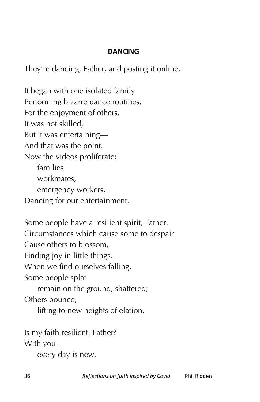## **DANCING**

They're dancing, Father, and posting it online.

It began with one isolated family Performing bizarre dance routines, For the enjoyment of others. It was not skilled, But it was entertaining— And that was the point. Now the videos proliferate: families workmates, emergency workers, Dancing for our entertainment.

Some people have a resilient spirit, Father. Circumstances which cause some to despair Cause others to blossom, Finding joy in little things. When we find ourselves falling, Some people splat remain on the ground, shattered; Others bounce, lifting to new heights of elation.

Is my faith resilient, Father? With you

every day is new,